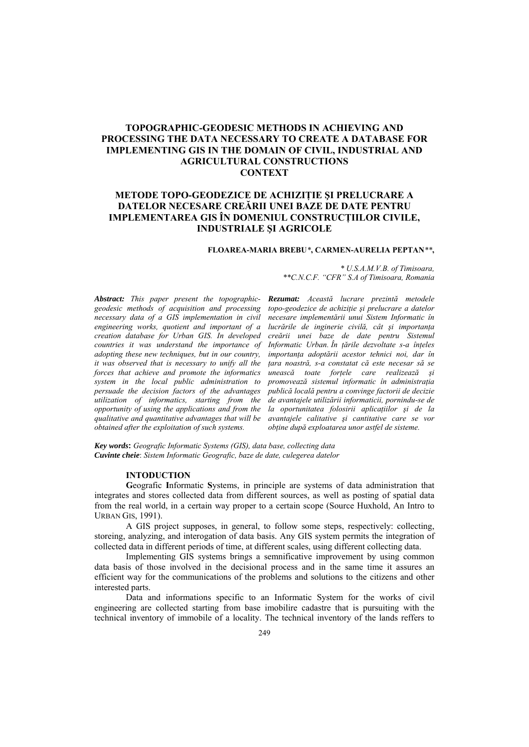# **TOPOGRAPHIC-GEODESIC METHODS IN ACHIEVING AND** PROCESSING THE DATA NECESSARY TO CREATE A DATABASE FOR IMPLEMENTING GIS IN THE DOMAIN OF CIVIL, INDUSTRIAL AND **AGRICULTURAL CONSTRUCTIONS CONTEXT**

# METODE TOPO-GEODEZICE DE ACHIZIȚIE ȘI PRELUCRARE A DATELOR NECESARE CREĂRII UNEI BAZE DE DATE PENTRU IMPLEMENTAREA GIS ÎN DOMENIUL CONSTRUCȚIILOR CIVILE, **INDUSTRIALE SI AGRICOLE**

## FLOAREA-MARIA BREBU\*, CARMEN-AURELIA PEPTAN\*\*,

**Abstract:** This paper present the topographicgeodesic methods of acquisition and processing necessary data of  $\alpha$  GIS implementation in civil engineering works, quotient and important of a creation database for Urban GIS. In developed countries it was understand the importance of adopting these new techniques, but in our country, it was observed that is necessary to unify all the forces that achieve and promote the informatics system in the local public administration to persuade the decision factors of the advantages utilization of informatics, starting from the opportunity of using the applications and from the qualitative and quantitative advantages that will be obtained after the exploitation of such systems.

Rezumat: Această lucrare prezintă metodele topo-geodezice de achiziție și prelucrare a datelor necesare implementării unui Sistem Informatic în lucrările de inginerie civilă, cât și importanta creării unei baze de date pentru Sistemul Informatic Urban. În țările dezvoltate s-a înțeles importanta adoptării acestor tehnici noi, dar în țara noastră, s-a constatat că este necesar să se unească toate forțele care realizează și promovează sistemul informatic în administrația

\*\*C.N.C.F. "CFR" S.A of Timisoara, Romania

\* U.S.A.M.V.B. of Timisoara.

publică locală pentru a convinge factorii de decizie de avantajele utilizării informaticii, pornindu-se de la oportunitatea folosirii aplicațiilor și de la avantajele calitative si cantitative care se vor obține după exploatarea unor astfel de sisteme.

Key words: Geografic Informatic Systems (GIS), data base, collecting data Cuvinte cheie: Sistem Informatic Geografic, baze de date, culegerea datelor

#### **INTODUCTION**

Geografic Informatic Systems, in principle are systems of data administration that integrates and stores collected data from different sources, as well as posting of spatial data from the real world, in a certain way proper to a certain scope (Source Huxhold, An Intro to **URBAN GIS, 1991).** 

A GIS project supposes, in general, to follow some steps, respectively: collecting, storeing, analyzing, and interogation of data basis. Any GIS system permits the integration of collected data in different periods of time, at different scales, using different collecting data.

Implementing GIS systems brings a semnificative improvement by using common data basis of those involved in the decisional process and in the same time it assures an efficient way for the communications of the problems and solutions to the citizens and other interested parts.

Data and informations specific to an Informatic System for the works of civil engineering are collected starting from base imobilitie cadastre that is pursuiting with the technical inventory of immobile of a locality. The technical inventory of the lands reffers to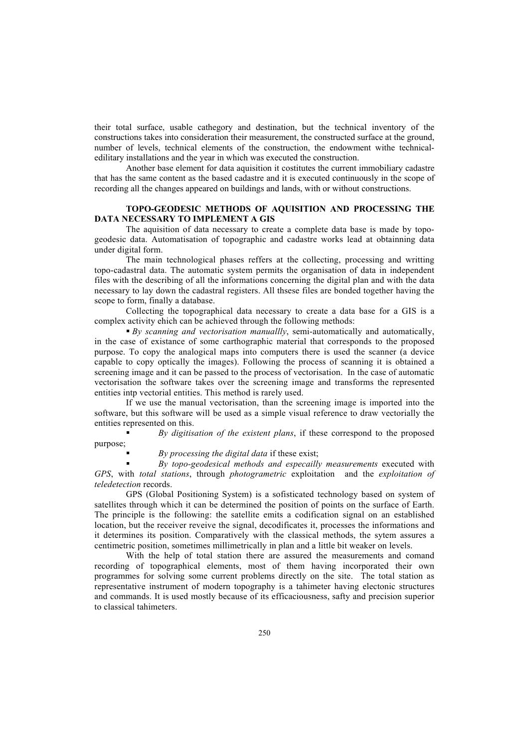their total surface, usable cathegory and destination, but the technical inventory of the constructions takes into consideration their measurement, the constructed surface at the ground, number of levels, technical elements of the construction, the endowment withe technicaledilitary installations and the year in which was executed the construction.

Another base element for data aquisition it costitutes the current immobiliary cadastre that has the same content as the based cadastre and it is executed continuously in the scope of recording all the changes appeared on buildings and lands, with or without constructions.

## **TOPO-GEODESIC METHODS OF AQUISITION AND PROCESSING THE DATA NECESSARY TO IMPLEMENT A GIS**

The aquisition of data necessary to create a complete data base is made by topogeodesic data. Automatisation of topographic and cadastre works lead at obtainning data under digital form.

The main technological phases reffers at the collecting, processing and writting topo-cadastral data. The automatic system permits the organisation of data in independent files with the describing of all the informations concerning the digital plan and with the data necessary to lay down the cadastral registers. All thsese files are bonded together having the scope to form, finally a database.

Collecting the topographical data necessary to create a data base for a GIS is a complex activity ehich can be achieved through the following methods:

 *By scanning and vectorisation manuallly*, semi-automatically and automatically, in the case of existance of some carthographic material that corresponds to the proposed purpose. To copy the analogical maps into computers there is used the scanner (a device capable to copy optically the images). Following the process of scanning it is obtained a screening image and it can be passed to the process of vectorisation. In the case of automatic vectorisation the software takes over the screening image and transforms the represented entities intp vectorial entities. This method is rarely used.

If we use the manual vectorisation, than the screening image is imported into the software, but this software will be used as a simple visual reference to draw vectorially the entities represented on this.

 *By digitisation of the existent plans*, if these correspond to the proposed purpose;

*By processing the digital data* if these exist;

 *By topo-geodesical methods and especailly measurements* executed with *GPS*, with *total stations*, through *photogrametric* exploitation and the *exploitation of teledetection* records.

GPS (Global Positioning System) is a sofisticated technology based on system of satellites through which it can be determined the position of points on the surface of Earth. The principle is the following: the satellite emits a codification signal on an established location, but the receiver reveive the signal, decodificates it, processes the informations and it determines its position. Comparatively with the classical methods, the sytem assures a centimetric position, sometimes millimetrically in plan and a little bit weaker on levels.

With the help of total station there are assured the measurements and comand recording of topographical elements, most of them having incorporated their own programmes for solving some current problems directly on the site. The total station as representative instrument of modern topography is a tahimeter having electonic structures and commands. It is used mostly because of its efficaciousness, safty and precision superior to classical tahimeters.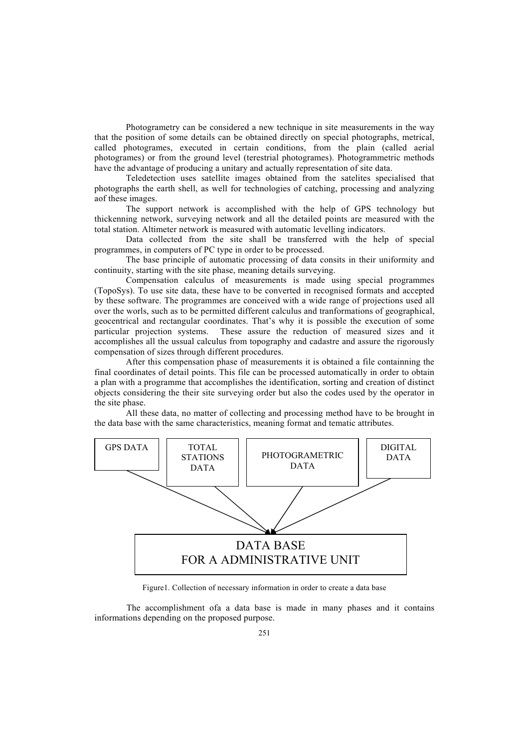Photogrametry can be considered a new technique in site measurements in the way that the position of some details can be obtained directly on special photographs, metrical, called photogrames, executed in certain conditions, from the plain (called aerial photogrames) or from the ground level (terestrial photogrames). Photogrammetric methods have the advantage of producing a unitary and actually representation of site data.

Teledetection uses satellite images obtained from the satelites specialised that photographs the earth shell, as well for technologies of catching, processing and analyzing aof these images.

The support network is accomplished with the help of GPS technology but thickenning network, surveying network and all the detailed points are measured with the total station. Altimeter network is measured with automatic levelling indicators.

Data collected from the site shall be transferred with the help of special programmes, in computers of PC type in order to be processed.

The base principle of automatic processing of data consits in their uniformity and continuity, starting with the site phase, meaning details surveying.

Compensation calculus of measurements is made using special programmes (TopoSys). To use site data, these have to be converted in recognised formats and accepted by these software. The programmes are conceived with a wide range of projections used all over the worls, such as to be permitted different calculus and tranformations of geographical, geocentrical and rectangular coordinates. That's why it is possible the execution of some particular projection systems. These assure the reduction of measured sizes and it accomplishes all the ussual calculus from topography and cadastre and assure the rigorously compensation of sizes through different procedures.

After this compensation phase of measurements it is obtained a file containning the final coordinates of detail points. This file can be processed automatically in order to obtain a plan with a programme that accomplishes the identification, sorting and creation of distinct objects considering the their site surveying order but also the codes used by the operator in the site phase.

All these data, no matter of collecting and processing method have to be brought in the data base with the same characteristics, meaning format and tematic attributes.



Figure1. Collection of necessary information in order to create a data base

The accomplishment ofa a data base is made in many phases and it contains informations depending on the proposed purpose.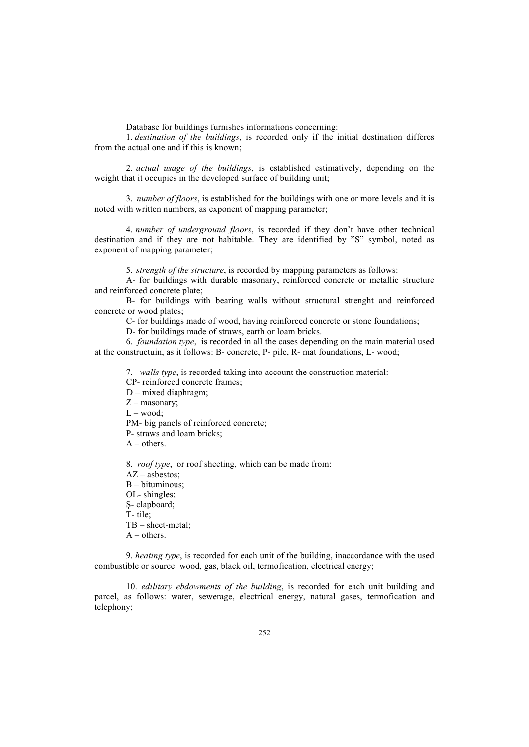Database for buildings furnishes informations concerning:

1. *destination of the buildings*, is recorded only if the initial destination differes from the actual one and if this is known;

2. *actual usage of the buildings*, is established estimatively, depending on the weight that it occupies in the developed surface of building unit;

3. *number of floors*, is established for the buildings with one or more levels and it is noted with written numbers, as exponent of mapping parameter;

4. *number of underground floors*, is recorded if they don't have other technical destination and if they are not habitable. They are identified by "S" symbol, noted as exponent of mapping parameter;

5. *strength of the structure*, is recorded by mapping parameters as follows:

A- for buildings with durable masonary, reinforced concrete or metallic structure and reinforced concrete plate;

B- for buildings with bearing walls without structural strenght and reinforced concrete or wood plates;

C- for buildings made of wood, having reinforced concrete or stone foundations;

D- for buildings made of straws, earth or loam bricks.

6. *foundation type*, is recorded in all the cases depending on the main material used at the constructuin, as it follows: B- concrete, P- pile, R- mat foundations, L- wood;

7. *walls type*, is recorded taking into account the construction material:

CP- reinforced concrete frames;

D – mixed diaphragm;

 $Z$  – masonary;

 $L - wood;$ 

PM- big panels of reinforced concrete; P- straws and loam bricks;  $A - others.$ 

8. *roof type*, or roof sheeting, which can be made from: AZ – asbestos; B – bituminous; OL- shingles; Ş- clapboard; T- tile; TB – sheet-metal;  $A$  – others.

9. *heating type*, is recorded for each unit of the building, inaccordance with the used combustible or source: wood, gas, black oil, termofication, electrical energy;

10. *edilitary ebdowments of the building*, is recorded for each unit building and parcel, as follows: water, sewerage, electrical energy, natural gases, termofication and telephony;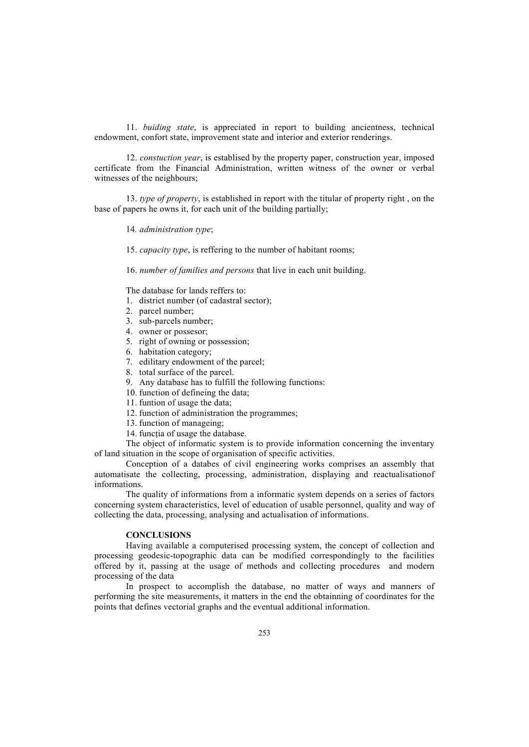11. *buiding state*, is appreciated in report to building ancientness, technical endowment, confort state, improvement state and interior and exterior renderings.

12. *constuction year*, is establised by the property paper, construction year, imposed certificate from the Financial Administration, written witness of the owner or verbal witnesses of the neighbours;

13. *type of property*, is established in report with the titular of property right , on the base of papers he owns it, for each unit of the building partially;

14*. administration type*;

15. *capacity type*, is reffering to the number of habitant rooms;

16. *number of families and persons* that live in each unit building.

The database for lands reffers to:

- 1. district number (of cadastral sector);
- 2. parcel number;
- 3. sub-parcels number;
- 4. owner or possesor;
- 5. right of owning or possession;
- 6. habitation category;
- 7. edilitary endowment of the parcel;
- 8. total surface of the parcel.
- 9. Any database has to fulfill the following functions:
- 10. function of defineing the data;
- 11. funtion of usage the data;
- 12. function of administration the programmes;
- 13. function of manageing;
- 14. functia of usage the database.

The object of informatic system is to provide information concerning the inventary of land situation in the scope of organisation of specific activities.

Conception of a databes of civil engineering works comprises an assembly that automatisate the collecting, processing, administration, displaying and reactualisationof informations.

The quality of informations from a informatic system depends on a series of factors concerning system characteristics, level of education of usable personnel, quality and way of collecting the data, processing, analysing and actualisation of informations.

### **CONCLUSIONS**

Having available a computerised processing system, the concept of collection and processing geodesic-topographic data can be modified correspondingly to the facilities offered by it, passing at the usage of methods and collecting procedures and modern processing of the data

In prospect to accomplish the database, no matter of ways and manners of performing the site measurements, it matters in the end the obtainning of coordinates for the points that defines vectorial graphs and the eventual additional information.